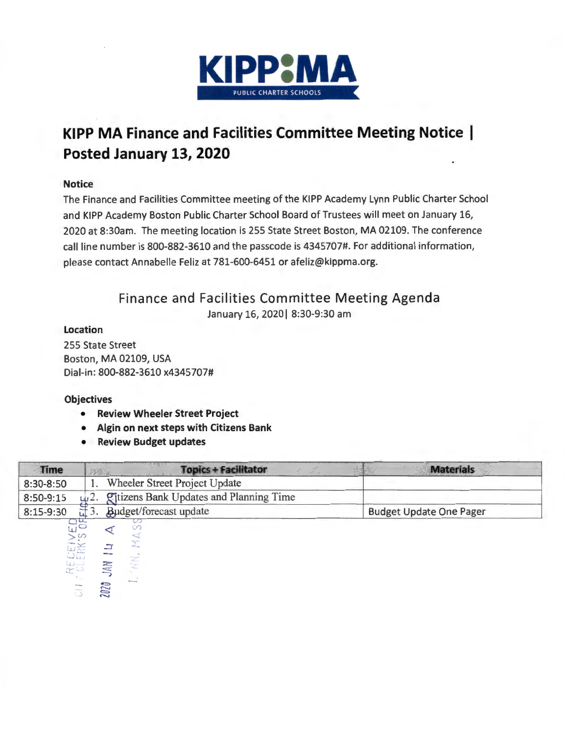

# **KIPP MA Finance and Facilities Committee Meeting Notice Posted January 13, 2020**

#### **Notice**

The Finance and Facilities Committee meeting of the KIPP Academy Lynn Public Charter School and KIPP Academy Boston Public Charter School Board of Trustees will meet on January 16, 2020 at 8:30am. The meeting location is 255 State Street Boston, MA 02109. The conference call line number is 800-882-3610 and the passcode is 4345707#. For additional information, please contact Annabelle Feliz at 781-600-6451 or afeliz@kippma.org.

# Finance and Facilities Committee Meeting Agenda

January 16, 2020 | 8:30-9:30 am

### Location

255 State Street Boston, MA 02109, USA Dial-in: 800-882-3610 x4345707#

## **Objectives**

- Review Wheeler Street Project
- Algin on next steps with Citizens Bank
- Review Budget updates

| Time                          | <b>Topics + Facilitator</b>                  | <b>Materials</b>               |
|-------------------------------|----------------------------------------------|--------------------------------|
| 8:30-8:50                     | Wheeler Street Project Update                |                                |
| 8:50-9:15                     | Citizens Bank Updates and Planning Time      |                                |
| 8:15-9:30                     | Budget/forecast update                       | <b>Budget Update One Pager</b> |
| <b>RECEIVED</b><br>CLERK'S OF |                                              |                                |
|                               | чCT<br>$\frac{2\sqrt{2}}{4R_{\rm max}}$<br>그 |                                |
|                               | $\cdots$                                     |                                |
|                               | ÂN                                           |                                |
| <b>HNG</b><br><b>SARA</b>     | <b>Standard</b><br>2020                      |                                |
| C                             |                                              |                                |